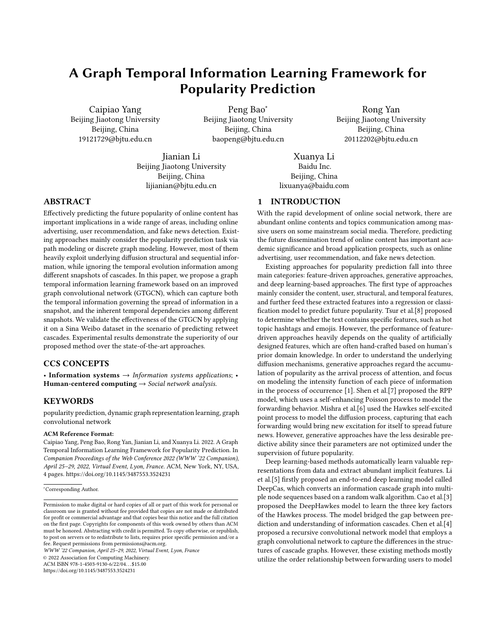# A Graph Temporal Information Learning Framework for Popularity Prediction

Caipiao Yang Beijing Jiaotong University Beijing, China 19121729@bjtu.edu.cn

Peng Bao<sup>∗</sup> Beijing Jiaotong University Beijing, China baopeng@bjtu.edu.cn

Rong Yan Beijing Jiaotong University Beijing, China 20112202@bjtu.edu.cn

Jianian Li Beijing Jiaotong University Beijing, China lijianian@bjtu.edu.cn

Xuanya Li Baidu Inc. Beijing, China lixuanya@baidu.com

# 1 INTRODUCTION

With the rapid development of online social network, there are abundant online contents and topics communication among massive users on some mainstream social media. Therefore, predicting the future dissemination trend of online content has important academic significance and broad application prospects, such as online advertising, user recommendation, and fake news detection.

Existing approaches for popularity prediction fall into three main categories: feature-driven approaches, generative approaches, and deep learning-based approaches. The first type of approaches mainly consider the content, user, structural, and temporal features, and further feed these extracted features into a regression or classification model to predict future popularity. Tsur et al.[\[8\]](#page-3-1) proposed to determine whether the text contains specific features, such as hot topic hashtags and emojis. However, the performance of featuredriven approaches heavily depends on the quality of artificially designed features, which are often hand-crafted based on human's prior domain knowledge. In order to understand the underlying diffusion mechanisms, generative approaches regard the accumulation of popularity as the arrival process of attention, and focus on modeling the intensity function of each piece of information in the process of occurrence [\[1\]](#page-3-2). Shen et al.[\[7\]](#page-3-3) proposed the RPP model, which uses a self-enhancing Poisson process to model the forwarding behavior. Mishra et al.[\[6\]](#page-3-4) used the Hawkes self-excited point process to model the diffusion process, capturing that each forwarding would bring new excitation for itself to spread future news. However, generative approaches have the less desirable predictive ability since their parameters are not optimized under the supervision of future popularity.

Deep learning-based methods automatically learn valuable representations from data and extract abundant implicit features. Li et al.[\[5\]](#page-3-5) firstly proposed an end-to-end deep learning model called DeepCas, which converts an information cascade graph into multiple node sequences based on a random walk algorithm. Cao et al.[\[3\]](#page-3-6) proposed the DeepHawkes model to learn the three key factors of the Hawkes process. The model bridged the gap between prediction and understanding of information cascades. Chen et al.[\[4\]](#page-3-7) proposed a recursive convolutional network model that employs a graph convolutional network to capture the differences in the structures of cascade graphs. However, these existing methods mostly utilize the order relationship between forwarding users to model

## ABSTRACT

Effectively predicting the future popularity of online content has important implications in a wide range of areas, including online advertising, user recommendation, and fake news detection. Existing approaches mainly consider the popularity prediction task via path modeling or discrete graph modeling. However, most of them heavily exploit underlying diffusion structural and sequential information, while ignoring the temporal evolution information among different snapshots of cascades. In this paper, we propose a graph temporal information learning framework based on an improved graph convolutional network (GTGCN), which can capture both the temporal information governing the spread of information in a snapshot, and the inherent temporal dependencies among different snapshots. We validate the effectiveness of the GTGCN by applying it on a Sina Weibo dataset in the scenario of predicting retweet cascades. Experimental results demonstrate the superiority of our proposed method over the state-of-the-art approaches.

#### CCS CONCEPTS

• Information systems  $\rightarrow$  Information systems applications; • Human-centered computing  $\rightarrow$  Social network analysis.

### KEYWORDS

popularity prediction, dynamic graph representation learning, graph convolutional network

#### ACM Reference Format:

Caipiao Yang, Peng Bao, Rong Yan, Jianian Li, and Xuanya Li. 2022. A Graph Temporal Information Learning Framework for Popularity Prediction. In Companion Proceedings of the Web Conference 2022 (WWW '22 Companion), April 25–29, 2022, Virtual Event, Lyon, France. ACM, New York, NY, USA, [4](#page-3-0) pages.<https://doi.org/10.1145/3487553.3524231>

WWW '22 Companion, April 25–29, 2022, Virtual Event, Lyon, France

© 2022 Association for Computing Machinery.

ACM ISBN 978-1-4503-9130-6/22/04. . . \$15.00

<https://doi.org/10.1145/3487553.3524231>

<sup>∗</sup>Corresponding Author.

Permission to make digital or hard copies of all or part of this work for personal or classroom use is granted without fee provided that copies are not made or distributed for profit or commercial advantage and that copies bear this notice and the full citation on the first page. Copyrights for components of this work owned by others than ACM must be honored. Abstracting with credit is permitted. To copy otherwise, or republish, to post on servers or to redistribute to lists, requires prior specific permission and/or a fee. Request permissions from permissions@acm.org.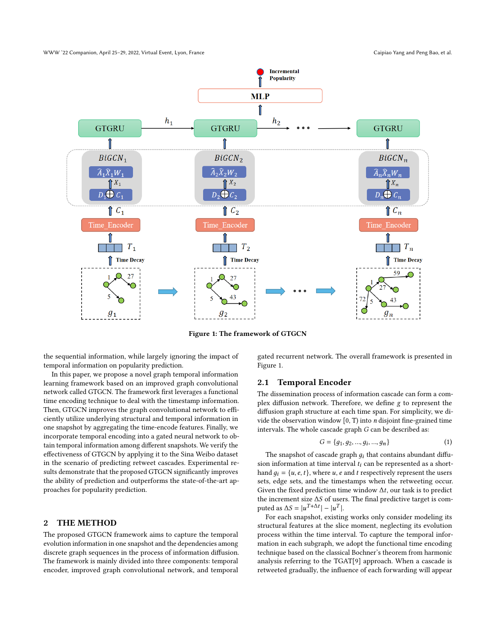

Figure 1: The framework of GTGCN

the sequential information, while largely ignoring the impact of temporal information on popularity prediction.

In this paper, we propose a novel graph temporal information learning framework based on an improved graph convolutional network called GTGCN. The framework first leverages a functional time encoding technique to deal with the timestamp information. Then, GTGCN improves the graph convolutional network to efficiently utilize underlying structural and temporal information in one snapshot by aggregating the time-encode features. Finally, we incorporate temporal encoding into a gated neural network to obtain temporal information among different snapshots. We verify the effectiveness of GTGCN by applying it to the Sina Weibo dataset in the scenario of predicting retweet cascades. Experimental results demonstrate that the proposed GTGCN significantly improves the ability of prediction and outperforms the state-of-the-art approaches for popularity prediction.

#### 2 THE METHOD

The proposed GTGCN framework aims to capture the temporal evolution information in one snapshot and the dependencies among discrete graph sequences in the process of information diffusion. The framework is mainly divided into three components: temporal encoder, improved graph convolutional network, and temporal

gated recurrent network. The overall framework is presented in Figure 1.

## 2.1 Temporal Encoder

The dissemination process of information cascade can form a complex diffusion network. Therefore, we define g to represent the diffusion graph structure at each time span. For simplicity, we divide the observation window  $[0, T)$  into *n* disjoint fine-grained time intervals. The whole cascade graph G can be described as:

$$
G = \{g_1, g_2, ..., g_i, ..., g_n\}
$$
 (1)

The snapshot of cascade graph  $q_i$  that contains abundant diffusion information at time interval  $t_i$  can be represented as a shorthand  $g_i = \{u, e, t\}$ , where u, e and t respectively represent the users sets, edge sets, and the timestamps when the retweeting occur. Given the fixed prediction time window  $\Delta t$ , our task is to predict the increment size  $\Delta S$  of users. The final predictive target is computed as  $\Delta S = |u^{T+\Delta t}| - |u^T|$ .

For each snapshot, existing works only consider modeling its structural features at the slice moment, neglecting its evolution process within the time interval. To capture the temporal information in each subgraph, we adopt the functional time encoding technique based on the classical Bochner's theorem from harmonic analysis referring to the TGAT[\[9\]](#page-3-8) approach. When a cascade is retweeted gradually, the influence of each forwarding will appear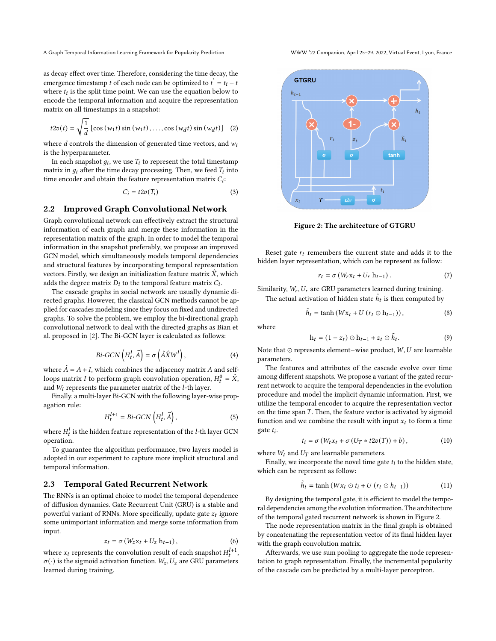as decay effect over time. Therefore, considering the time decay, the emergence timestamp *t* of each node can be optimized to  $t' = t_i - t$ where  $t_i$  is the split time point. We can use the equation below to encode the temporal information and acquire the representation matrix on all timestamps in a snapshot:

$$
t2v(t) = \sqrt{\frac{1}{d}} \left[ \cos\left(w_1 t\right) \sin\left(w_1 t\right), \dots, \cos\left(w_d t\right) \sin\left(w_d t\right) \right] \tag{2}
$$

where  $d$  controls the dimension of generated time vectors, and  $w_i$ is the hyperparameter.

In each snapshot  $g_i$ , we use  $T_i$  to represent the total timestamp matrix in  $g_i$  after the time decay processing. Then, we feed  $T_i$  into time encoder and obtain the feature representation matrix  $C_i$ :

$$
C_i = t2v(T_i) \tag{3}
$$

# 2.2 Improved Graph Convolutional Network

Graph convolutional network can effectively extract the structural information of each graph and merge these information in the representation matrix of the graph. In order to model the temporal information in the snapshot preferably, we propose an improved GCN model, which simultaneously models temporal dependencies and structural features by incorporating temporal representation vectors. Firstly, we design an initialization feature matrix  $\hat{X}$ , which adds the degree matrix  $D_i$  to the temporal feature matrix  $C_i$ .

The cascade graphs in social network are usually dynamic directed graphs. However, the classical GCN methods cannot be applied for cascades modeling since they focus on fixed and undirected graphs. To solve the problem, we employ the bi-directional graph convolutional network to deal with the directed graphs as Bian et al. proposed in [\[2\]](#page-3-9). The Bi-GCN layer is calculated as follows:

$$
Bi-GCN\left(H_t^l, \widehat{A}\right) = \sigma\left(\hat{A}\hat{X}W^l\right),\tag{4}
$$

where  $\hat{A} = A + I$ , which combines the adjacency matrix A and selfloops matrix  $I$  to perform graph convolution operation,  $H_t^0 = \hat{X},$ and  $W_l$  represents the parameter matrix of the  $l$ -th layer.

Finally, a multi-layer Bi-GCN with the following layer-wise propagation rule:

$$
H_t^{l+1} = Bi\text{-}\text{GCN}\left(H_t^l, \widehat{A}\right),\tag{5}
$$

where  $H_t^l$  is the hidden feature representation of the  $l$ -th layer GCN operation.

To guarantee the algorithm performance, two layers model is adopted in our experiment to capture more implicit structural and temporal information.

# 2.3 Temporal Gated Recurrent Network

The RNNs is an optimal choice to model the temporal dependence of diffusion dynamics. Gate Recurrent Unit (GRU) is a stable and powerful variant of RNNs. More specifically, update gate  $z_t$  ignore some unimportant information and merge some information from input.

$$
z_t = \sigma \left( W_z \mathbf{x}_t + U_z \, \mathbf{h}_{t-1} \right),\tag{6}
$$

where  $x_t$  represents the convolution result of each snapshot  $H_t^{l+1}$ ,  $\sigma(\cdot)$  is the sigmoid activation function.  $W_z$ ,  $U_z$  are GRU parameters learned during training.



Figure 2: The architecture of GTGRU

Reset gate  $r_t$  remembers the current state and adds it to the hidden layer representation, which can be represent as follow:

$$
r_t = \sigma \left( W_r \mathbf{x}_t + U_r \, \mathbf{h}_{t-1} \right). \tag{7}
$$

Similarity,  $W_r$ ,  $U_r$  are GRU parameters learned during training. The actual activation of hidden state  $\tilde{h}_t$  is then computed by

$$
\tilde{h}_t = \tanh\left(Wx_t + U\left(r_t \odot h_{t-1}\right)\right),\tag{8}
$$

where

$$
\mathbf{h}_t = (1 - z_t) \odot \mathbf{h}_{t-1} + z_t \odot \tilde{h}_t. \tag{9}
$$

Note that ⊙ represents element–wise product,  $W, U$  are learnable parameters.

The features and attributes of the cascade evolve over time among different snapshots. We propose a variant of the gated recurrent network to acquire the temporal dependencies in the evolution procedure and model the implicit dynamic information. First, we utilize the temporal encoder to acquire the representation vector on the time span  $T$ . Then, the feature vector is activated by sigmoid function and we combine the result with input  $x_t$  to form a time  $gate t_i$ .

$$
t_i = \sigma \left( W_t x_t + \sigma \left( U_T * t2v(T) \right) + b \right), \tag{10}
$$

where  $W_t$  and  $U_T$  are learnable parameters.

Finally, we incorporate the novel time gate  $t_i$  to the hidden state, which can be represent as follow:

$$
\tilde{h}_t = \tanh(Wx_t \odot t_i + U(r_t \odot h_{t-1})) \tag{11}
$$

By designing the temporal gate, it is efficient to model the temporal dependencies among the evolution information. The architecture of the temporal gated recurrent network is shown in Figure 2.

The node representation matrix in the final graph is obtained by concatenating the representation vector of its final hidden layer with the graph convolution matrix.

Afterwards, we use sum pooling to aggregate the node representation to graph representation. Finally, the incremental popularity of the cascade can be predicted by a multi-layer perceptron.